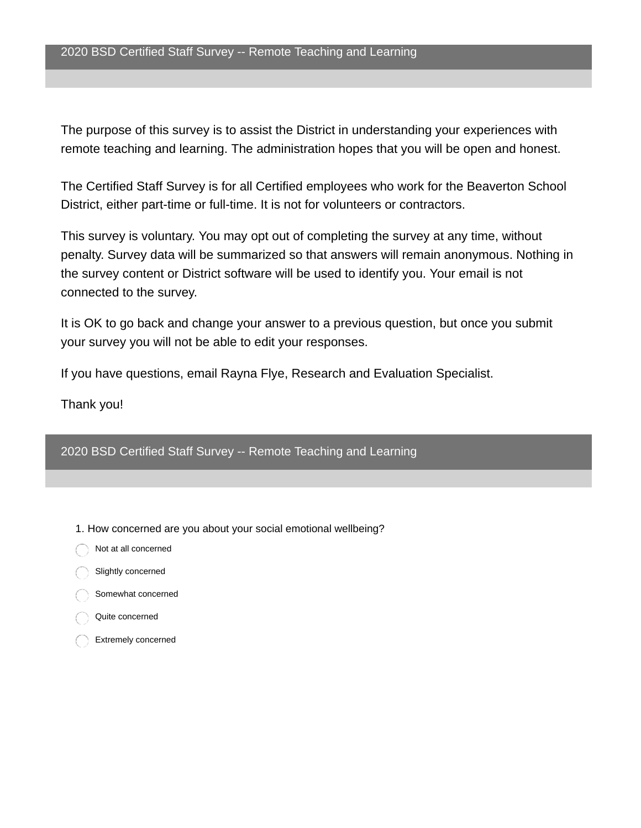The purpose of this survey is to assist the District in understanding your experiences with remote teaching and learning. The administration hopes that you will be open and honest.

The Certified Staff Survey is for all Certified employees who work for the Beaverton School District, either part-time or full-time. It is not for volunteers or contractors.

This survey is voluntary. You may opt out of completing the survey at any time, without penalty. Survey data will be summarized so that answers will remain anonymous. Nothing in the survey content or District software will be used to identify you. Your email is not connected to the survey.

It is OK to go back and change your answer to a previous question, but once you submit your survey you will not be able to edit your responses.

If you have questions, email Rayna Flye, Research and Evaluation Specialist.

Thank you!

2020 BSD Certified Staff Survey -- Remote Teaching and Learning

- 1. How concerned are you about your social emotional wellbeing?
- Not at all concerned
- Slightly concerned
- Somewhat concerned
- Quite concerned
- Extremely concerned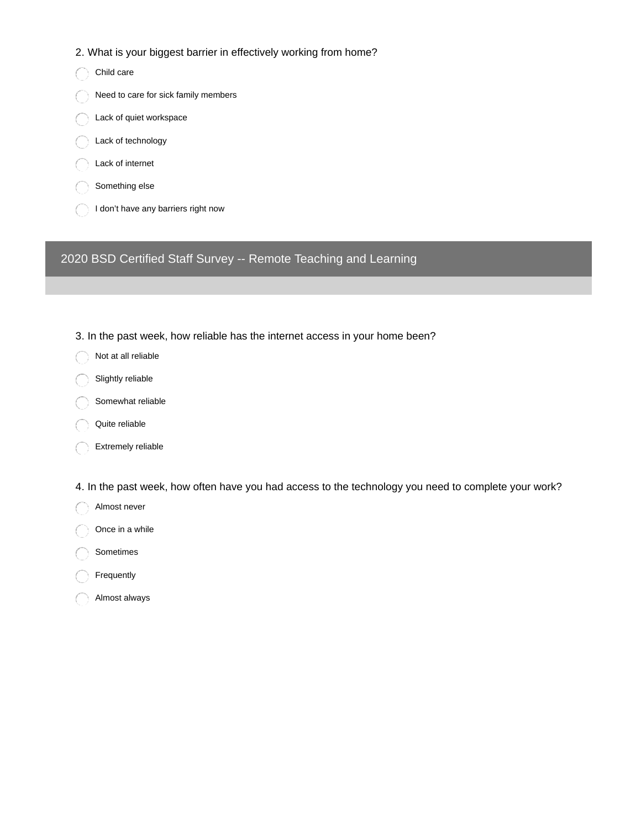## 2. What is your biggest barrier in effectively working from home?

Child care Need to care for sick family members Lack of quiet workspace Lack of technology Lack of internet Something else I don't have any barriers right now

2020 BSD Certified Staff Survey -- Remote Teaching and Learning

- 3. In the past week, how reliable has the internet access in your home been?
- Not at all reliable
- Slightly reliable
- Somewhat reliable
- Quite reliable
- Extremely reliable
- 4. In the past week, how often have you had access to the technology you need to complete your work?
- Almost never
- Once in a while
- Sometimes
- Frequently
- Almost always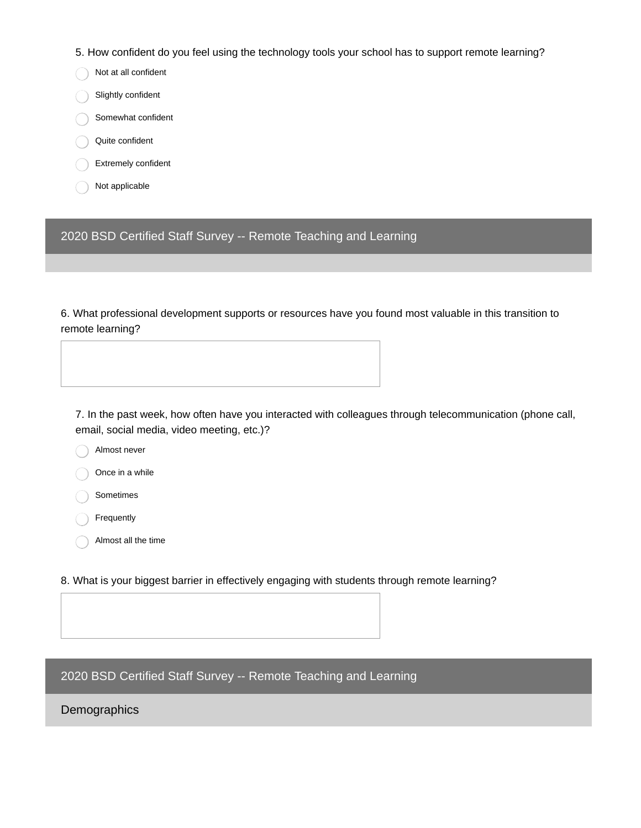5. How confident do you feel using the technology tools your school has to support remote learning?

- Not at all confident
- Slightly confident
- Somewhat confident
- Quite confident
- Extremely confident
- Not applicable

2020 BSD Certified Staff Survey -- Remote Teaching and Learning

6. What professional development supports or resources have you found most valuable in this transition to remote learning?

7. In the past week, how often have you interacted with colleagues through telecommunication (phone call, email, social media, video meeting, etc.)?

- Almost never
- Once in a while
- Sometimes
- Frequently
- Almost all the time
- 8. What is your biggest barrier in effectively engaging with students through remote learning?

2020 BSD Certified Staff Survey -- Remote Teaching and Learning

## Demographics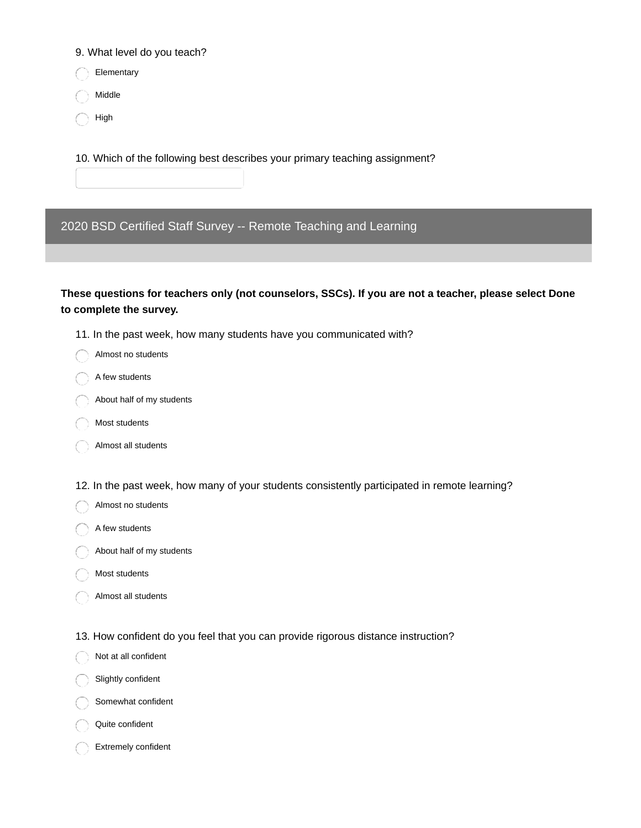9. What level do you teach?

Elementary

Middle

High

10. Which of the following best describes your primary teaching assignment?

2020 BSD Certified Staff Survey -- Remote Teaching and Learning

**These questions for teachers only (not counselors, SSCs). If you are not a teacher, please select Done to complete the survey.**

- 11. In the past week, how many students have you communicated with?
- Almost no students
- A few students
- About half of my students
- Most students
- Almost all students
- 12. In the past week, how many of your students consistently participated in remote learning?
- Almost no students
- A few students
- About half of my students
- Most students
- Almost all students
- 13. How confident do you feel that you can provide rigorous distance instruction?
- Not at all confident
- Slightly confident
- Somewhat confident
- Quite confident
- Extremely confident